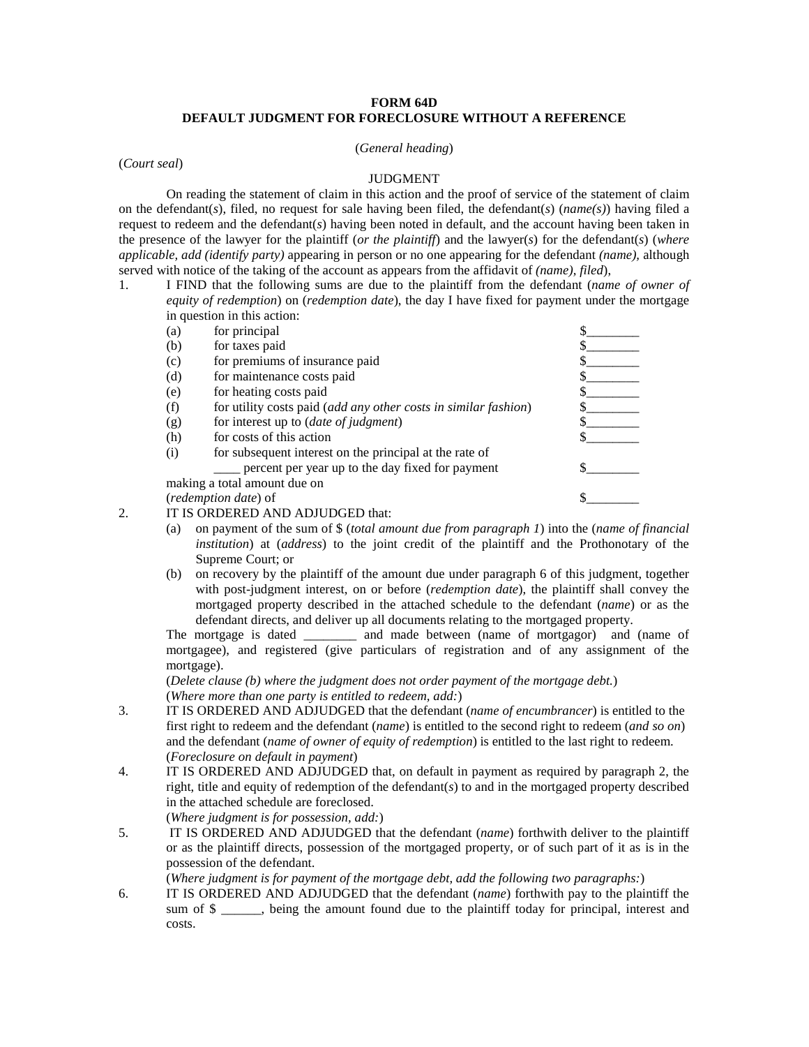## **FORM 64D DEFAULT JUDGMENT FOR FORECLOSURE WITHOUT A REFERENCE**

## (*General heading*)

(*Court seal*)

## JUDGMENT

On reading the statement of claim in this action and the proof of service of the statement of claim on the defendant(*s*), filed, no request for sale having been filed, the defendant(*s*) (*name(s)*) having filed a request to redeem and the defendant(*s*) having been noted in default, and the account having been taken in the presence of the lawyer for the plaintiff (*or the plaintiff*) and the lawyer(*s*) for the defendant(*s*) (*where applicable, add (identify party)* appearing in person or no one appearing for the defendant *(name),* although served with notice of the taking of the account as appears from the affidavit of *(name), filed*),

1. I FIND that the following sums are due to the plaintiff from the defendant (*name of owner of equity of redemption*) on (*redemption date*), the day I have fixed for payment under the mortgage in question in this action:

| (a)                          | for principal                                                   |  |
|------------------------------|-----------------------------------------------------------------|--|
| (b)                          | for taxes paid                                                  |  |
| (c)                          | for premiums of insurance paid                                  |  |
| (d)                          | for maintenance costs paid                                      |  |
| (e)                          | for heating costs paid                                          |  |
| (f)                          | for utility costs paid (add any other costs in similar fashion) |  |
| (g)                          | for interest up to (date of judgment)                           |  |
| (h)                          | for costs of this action                                        |  |
| (i)                          | for subsequent interest on the principal at the rate of         |  |
|                              | percent per year up to the day fixed for payment                |  |
| making a total amount due on |                                                                 |  |
| (redemption date) of         |                                                                 |  |
|                              |                                                                 |  |

2. IT IS ORDERED AND ADJUDGED that:

- (a) on payment of the sum of \$ (*total amount due from paragraph 1*) into the (*name of financial institution*) at (*address*) to the joint credit of the plaintiff and the Prothonotary of the Supreme Court; or
- (b) on recovery by the plaintiff of the amount due under paragraph 6 of this judgment, together with post-judgment interest, on or before (*redemption date*), the plaintiff shall convey the mortgaged property described in the attached schedule to the defendant (*name*) or as the defendant directs, and deliver up all documents relating to the mortgaged property.

The mortgage is dated \_\_\_\_\_\_\_\_ and made between (name of mortgagor) and (name of mortgagee), and registered (give particulars of registration and of any assignment of the mortgage).

(*Delete clause (b) where the judgment does not order payment of the mortgage debt.*) (*Where more than one party is entitled to redeem, add:*)

- 3. IT IS ORDERED AND ADJUDGED that the defendant (*name of encumbrancer*) is entitled to the first right to redeem and the defendant (*name*) is entitled to the second right to redeem (*and so on*) and the defendant (*name of owner of equity of redemption*) is entitled to the last right to redeem. (*Foreclosure on default in payment*)
- 4. IT IS ORDERED AND ADJUDGED that, on default in payment as required by paragraph 2, the right, title and equity of redemption of the defendant(*s*) to and in the mortgaged property described in the attached schedule are foreclosed.

(*Where judgment is for possession, add:*)

5. IT IS ORDERED AND ADJUDGED that the defendant (*name*) forthwith deliver to the plaintiff or as the plaintiff directs, possession of the mortgaged property, or of such part of it as is in the possession of the defendant.

(*Where judgment is for payment of the mortgage debt, add the following two paragraphs:*)

6. IT IS ORDERED AND ADJUDGED that the defendant (*name*) forthwith pay to the plaintiff the sum of  $\frac{1}{2}$ , being the amount found due to the plaintiff today for principal, interest and costs.